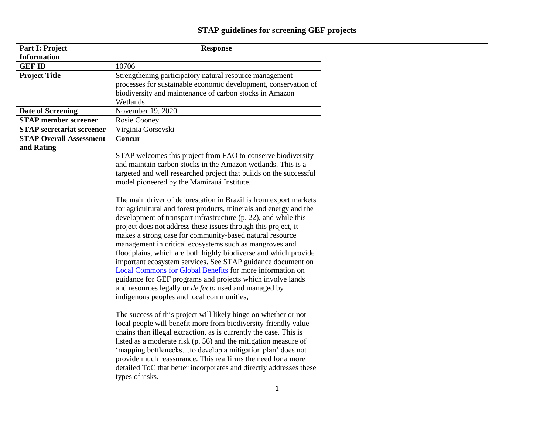## **STAP guidelines for screening GEF projects**

| Part I: Project                  | <b>Response</b>                                                                                                                                                                                                                                                                                                                                                                                                                                                                                                                                                                                                                                                                                                                                                                                                                                                                                                                                                                                                                                                                                                                                                                                                                                                                                                                                                                                                                                                                                                                       |
|----------------------------------|---------------------------------------------------------------------------------------------------------------------------------------------------------------------------------------------------------------------------------------------------------------------------------------------------------------------------------------------------------------------------------------------------------------------------------------------------------------------------------------------------------------------------------------------------------------------------------------------------------------------------------------------------------------------------------------------------------------------------------------------------------------------------------------------------------------------------------------------------------------------------------------------------------------------------------------------------------------------------------------------------------------------------------------------------------------------------------------------------------------------------------------------------------------------------------------------------------------------------------------------------------------------------------------------------------------------------------------------------------------------------------------------------------------------------------------------------------------------------------------------------------------------------------------|
| <b>Information</b>               |                                                                                                                                                                                                                                                                                                                                                                                                                                                                                                                                                                                                                                                                                                                                                                                                                                                                                                                                                                                                                                                                                                                                                                                                                                                                                                                                                                                                                                                                                                                                       |
| <b>GEF ID</b>                    | 10706                                                                                                                                                                                                                                                                                                                                                                                                                                                                                                                                                                                                                                                                                                                                                                                                                                                                                                                                                                                                                                                                                                                                                                                                                                                                                                                                                                                                                                                                                                                                 |
| <b>Project Title</b>             | Strengthening participatory natural resource management<br>processes for sustainable economic development, conservation of<br>biodiversity and maintenance of carbon stocks in Amazon                                                                                                                                                                                                                                                                                                                                                                                                                                                                                                                                                                                                                                                                                                                                                                                                                                                                                                                                                                                                                                                                                                                                                                                                                                                                                                                                                 |
|                                  | Wetlands.                                                                                                                                                                                                                                                                                                                                                                                                                                                                                                                                                                                                                                                                                                                                                                                                                                                                                                                                                                                                                                                                                                                                                                                                                                                                                                                                                                                                                                                                                                                             |
| <b>Date of Screening</b>         | November 19, 2020                                                                                                                                                                                                                                                                                                                                                                                                                                                                                                                                                                                                                                                                                                                                                                                                                                                                                                                                                                                                                                                                                                                                                                                                                                                                                                                                                                                                                                                                                                                     |
| <b>STAP</b> member screener      | Rosie Cooney                                                                                                                                                                                                                                                                                                                                                                                                                                                                                                                                                                                                                                                                                                                                                                                                                                                                                                                                                                                                                                                                                                                                                                                                                                                                                                                                                                                                                                                                                                                          |
| <b>STAP</b> secretariat screener | Virginia Gorsevski                                                                                                                                                                                                                                                                                                                                                                                                                                                                                                                                                                                                                                                                                                                                                                                                                                                                                                                                                                                                                                                                                                                                                                                                                                                                                                                                                                                                                                                                                                                    |
| <b>STAP Overall Assessment</b>   | <b>Concur</b>                                                                                                                                                                                                                                                                                                                                                                                                                                                                                                                                                                                                                                                                                                                                                                                                                                                                                                                                                                                                                                                                                                                                                                                                                                                                                                                                                                                                                                                                                                                         |
| and Rating                       | STAP welcomes this project from FAO to conserve biodiversity<br>and maintain carbon stocks in the Amazon wetlands. This is a<br>targeted and well researched project that builds on the successful<br>model pioneered by the Mamirauá Institute.<br>The main driver of deforestation in Brazil is from export markets<br>for agricultural and forest products, minerals and energy and the<br>development of transport infrastructure (p. 22), and while this<br>project does not address these issues through this project, it<br>makes a strong case for community-based natural resource<br>management in critical ecosystems such as mangroves and<br>floodplains, which are both highly biodiverse and which provide<br>important ecosystem services. See STAP guidance document on<br>Local Commons for Global Benefits for more information on<br>guidance for GEF programs and projects which involve lands<br>and resources legally or <i>de facto</i> used and managed by<br>indigenous peoples and local communities,<br>The success of this project will likely hinge on whether or not<br>local people will benefit more from biodiversity-friendly value<br>chains than illegal extraction, as is currently the case. This is<br>listed as a moderate risk (p. 56) and the mitigation measure of<br>'mapping bottlenecksto develop a mitigation plan' does not<br>provide much reassurance. This reaffirms the need for a more<br>detailed ToC that better incorporates and directly addresses these<br>types of risks. |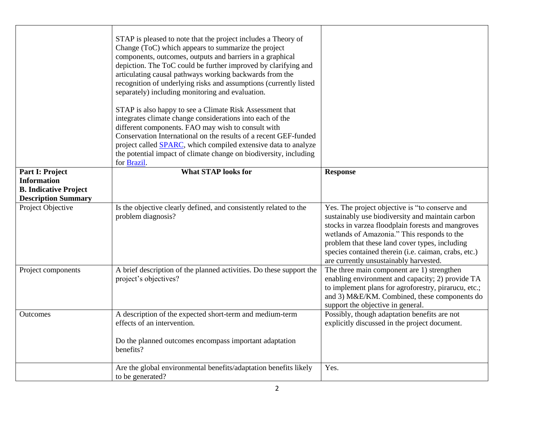|                                                    | STAP is pleased to note that the project includes a Theory of<br>Change (ToC) which appears to summarize the project<br>components, outcomes, outputs and barriers in a graphical<br>depiction. The ToC could be further improved by clarifying and<br>articulating causal pathways working backwards from the<br>recognition of underlying risks and assumptions (currently listed<br>separately) including monitoring and evaluation.<br>STAP is also happy to see a Climate Risk Assessment that<br>integrates climate change considerations into each of the<br>different components. FAO may wish to consult with<br>Conservation International on the results of a recent GEF-funded<br>project called SPARC, which compiled extensive data to analyze<br>the potential impact of climate change on biodiversity, including<br>for Brazil. |                                                                                                                                                                                                                                                                                                                                                            |
|----------------------------------------------------|--------------------------------------------------------------------------------------------------------------------------------------------------------------------------------------------------------------------------------------------------------------------------------------------------------------------------------------------------------------------------------------------------------------------------------------------------------------------------------------------------------------------------------------------------------------------------------------------------------------------------------------------------------------------------------------------------------------------------------------------------------------------------------------------------------------------------------------------------|------------------------------------------------------------------------------------------------------------------------------------------------------------------------------------------------------------------------------------------------------------------------------------------------------------------------------------------------------------|
| Part I: Project                                    | <b>What STAP looks for</b>                                                                                                                                                                                                                                                                                                                                                                                                                                                                                                                                                                                                                                                                                                                                                                                                                       | <b>Response</b>                                                                                                                                                                                                                                                                                                                                            |
| <b>Information</b><br><b>B. Indicative Project</b> |                                                                                                                                                                                                                                                                                                                                                                                                                                                                                                                                                                                                                                                                                                                                                                                                                                                  |                                                                                                                                                                                                                                                                                                                                                            |
| <b>Description Summary</b>                         |                                                                                                                                                                                                                                                                                                                                                                                                                                                                                                                                                                                                                                                                                                                                                                                                                                                  |                                                                                                                                                                                                                                                                                                                                                            |
| Project Objective                                  | Is the objective clearly defined, and consistently related to the<br>problem diagnosis?                                                                                                                                                                                                                                                                                                                                                                                                                                                                                                                                                                                                                                                                                                                                                          | Yes. The project objective is "to conserve and<br>sustainably use biodiversity and maintain carbon<br>stocks in varzea floodplain forests and mangroves<br>wetlands of Amazonia." This responds to the<br>problem that these land cover types, including<br>species contained therein (i.e. caiman, crabs, etc.)<br>are currently unsustainably harvested. |
| Project components                                 | A brief description of the planned activities. Do these support the<br>project's objectives?                                                                                                                                                                                                                                                                                                                                                                                                                                                                                                                                                                                                                                                                                                                                                     | The three main component are 1) strengthen<br>enabling environment and capacity; 2) provide TA<br>to implement plans for agroforestry, pirarucu, etc.;<br>and 3) M&E/KM. Combined, these components do<br>support the objective in general.                                                                                                                |
| Outcomes                                           | A description of the expected short-term and medium-term<br>effects of an intervention.                                                                                                                                                                                                                                                                                                                                                                                                                                                                                                                                                                                                                                                                                                                                                          | Possibly, though adaptation benefits are not<br>explicitly discussed in the project document.                                                                                                                                                                                                                                                              |
|                                                    | Do the planned outcomes encompass important adaptation<br>benefits?                                                                                                                                                                                                                                                                                                                                                                                                                                                                                                                                                                                                                                                                                                                                                                              |                                                                                                                                                                                                                                                                                                                                                            |
|                                                    | Are the global environmental benefits/adaptation benefits likely<br>to be generated?                                                                                                                                                                                                                                                                                                                                                                                                                                                                                                                                                                                                                                                                                                                                                             | Yes.                                                                                                                                                                                                                                                                                                                                                       |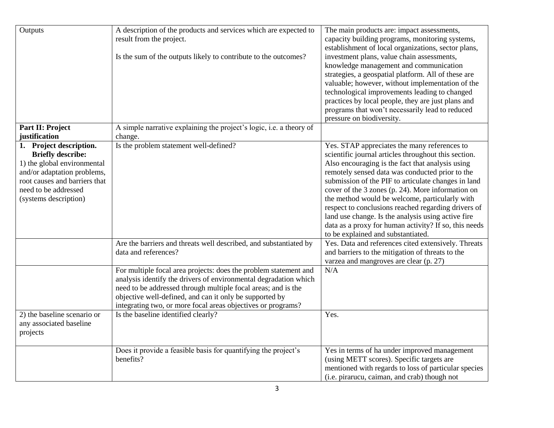| Outputs<br>Part II: Project                                                                                                                                                                         | A description of the products and services which are expected to<br>result from the project.<br>Is the sum of the outputs likely to contribute to the outcomes?<br>A simple narrative explaining the project's logic, i.e. a theory of                                                                                           | The main products are: impact assessments,<br>capacity building programs, monitoring systems,<br>establishment of local organizations, sector plans,<br>investment plans, value chain assessments,<br>knowledge management and communication<br>strategies, a geospatial platform. All of these are<br>valuable; however, without implementation of the<br>technological improvements leading to changed<br>practices by local people, they are just plans and<br>programs that won't necessarily lead to reduced<br>pressure on biodiversity.                                        |
|-----------------------------------------------------------------------------------------------------------------------------------------------------------------------------------------------------|----------------------------------------------------------------------------------------------------------------------------------------------------------------------------------------------------------------------------------------------------------------------------------------------------------------------------------|---------------------------------------------------------------------------------------------------------------------------------------------------------------------------------------------------------------------------------------------------------------------------------------------------------------------------------------------------------------------------------------------------------------------------------------------------------------------------------------------------------------------------------------------------------------------------------------|
| justification                                                                                                                                                                                       | change.                                                                                                                                                                                                                                                                                                                          |                                                                                                                                                                                                                                                                                                                                                                                                                                                                                                                                                                                       |
| 1. Project description.<br><b>Briefly describe:</b><br>1) the global environmental<br>and/or adaptation problems,<br>root causes and barriers that<br>need to be addressed<br>(systems description) | Is the problem statement well-defined?                                                                                                                                                                                                                                                                                           | Yes. STAP appreciates the many references to<br>scientific journal articles throughout this section.<br>Also encouraging is the fact that analysis using<br>remotely sensed data was conducted prior to the<br>submission of the PIF to articulate changes in land<br>cover of the 3 zones (p. 24). More information on<br>the method would be welcome, particularly with<br>respect to conclusions reached regarding drivers of<br>land use change. Is the analysis using active fire<br>data as a proxy for human activity? If so, this needs<br>to be explained and substantiated. |
|                                                                                                                                                                                                     | Are the barriers and threats well described, and substantiated by<br>data and references?                                                                                                                                                                                                                                        | Yes. Data and references cited extensively. Threats<br>and barriers to the mitigation of threats to the<br>varzea and mangroves are clear (p. 27)                                                                                                                                                                                                                                                                                                                                                                                                                                     |
|                                                                                                                                                                                                     | For multiple focal area projects: does the problem statement and<br>analysis identify the drivers of environmental degradation which<br>need to be addressed through multiple focal areas; and is the<br>objective well-defined, and can it only be supported by<br>integrating two, or more focal areas objectives or programs? | N/A                                                                                                                                                                                                                                                                                                                                                                                                                                                                                                                                                                                   |
| 2) the baseline scenario or<br>any associated baseline<br>projects                                                                                                                                  | Is the baseline identified clearly?                                                                                                                                                                                                                                                                                              | Yes.                                                                                                                                                                                                                                                                                                                                                                                                                                                                                                                                                                                  |
|                                                                                                                                                                                                     | Does it provide a feasible basis for quantifying the project's<br>benefits?                                                                                                                                                                                                                                                      | Yes in terms of ha under improved management<br>(using METT scores). Specific targets are<br>mentioned with regards to loss of particular species<br>(i.e. pirarucu, caiman, and crab) though not                                                                                                                                                                                                                                                                                                                                                                                     |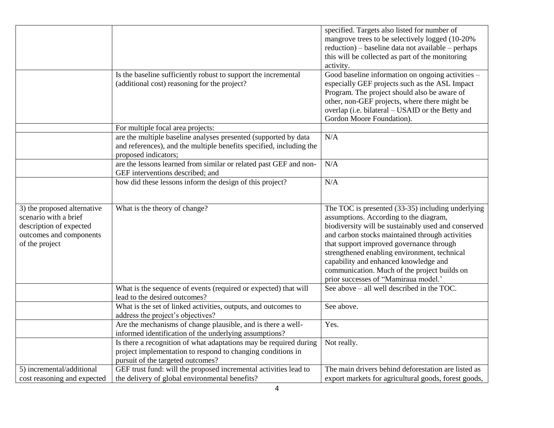|                                                                                                                              | Is the baseline sufficiently robust to support the incremental                                                                                                                                                                            | specified. Targets also listed for number of<br>mangrove trees to be selectively logged (10-20%)<br>reduction) – baseline data not available – perhaps<br>this will be collected as part of the monitoring<br>activity.<br>Good baseline information on ongoing activities -                                                                                                                                                       |
|------------------------------------------------------------------------------------------------------------------------------|-------------------------------------------------------------------------------------------------------------------------------------------------------------------------------------------------------------------------------------------|------------------------------------------------------------------------------------------------------------------------------------------------------------------------------------------------------------------------------------------------------------------------------------------------------------------------------------------------------------------------------------------------------------------------------------|
|                                                                                                                              | (additional cost) reasoning for the project?                                                                                                                                                                                              | especially GEF projects such as the ASL Impact<br>Program. The project should also be aware of<br>other, non-GEF projects, where there might be<br>overlap (i.e. bilateral - USAID or the Betty and<br>Gordon Moore Foundation).                                                                                                                                                                                                   |
|                                                                                                                              | For multiple focal area projects:                                                                                                                                                                                                         |                                                                                                                                                                                                                                                                                                                                                                                                                                    |
|                                                                                                                              | are the multiple baseline analyses presented (supported by data<br>and references), and the multiple benefits specified, including the<br>proposed indicators;                                                                            | N/A                                                                                                                                                                                                                                                                                                                                                                                                                                |
|                                                                                                                              | are the lessons learned from similar or related past GEF and non-<br>GEF interventions described; and                                                                                                                                     | N/A                                                                                                                                                                                                                                                                                                                                                                                                                                |
|                                                                                                                              | how did these lessons inform the design of this project?                                                                                                                                                                                  | N/A                                                                                                                                                                                                                                                                                                                                                                                                                                |
| 3) the proposed alternative<br>scenario with a brief<br>description of expected<br>outcomes and components<br>of the project | What is the theory of change?                                                                                                                                                                                                             | The TOC is presented (33-35) including underlying<br>assumptions. According to the diagram,<br>biodiversity will be sustainably used and conserved<br>and carbon stocks maintained through activities<br>that support improved governance through<br>strengthened enabling environment, technical<br>capability and enhanced knowledge and<br>communication. Much of the project builds on<br>prior successes of "Mamiraua model." |
|                                                                                                                              | What is the sequence of events (required or expected) that will<br>lead to the desired outcomes?                                                                                                                                          | See above – all well described in the TOC.                                                                                                                                                                                                                                                                                                                                                                                         |
|                                                                                                                              | What is the set of linked activities, outputs, and outcomes to                                                                                                                                                                            | See above.                                                                                                                                                                                                                                                                                                                                                                                                                         |
|                                                                                                                              | address the project's objectives?                                                                                                                                                                                                         |                                                                                                                                                                                                                                                                                                                                                                                                                                    |
|                                                                                                                              | Are the mechanisms of change plausible, and is there a well-<br>informed identification of the underlying assumptions?                                                                                                                    | Yes.                                                                                                                                                                                                                                                                                                                                                                                                                               |
| 5) incremental/additional                                                                                                    | Is there a recognition of what adaptations may be required during<br>project implementation to respond to changing conditions in<br>pursuit of the targeted outcomes?<br>GEF trust fund: will the proposed incremental activities lead to | Not really.<br>The main drivers behind deforestation are listed as                                                                                                                                                                                                                                                                                                                                                                 |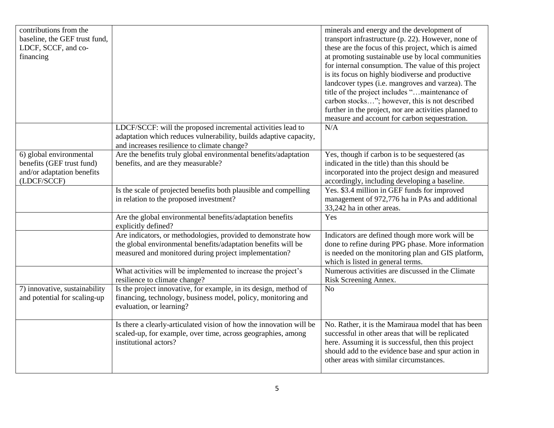| contributions from the        |                                                                                       | minerals and energy and the development of                                                               |
|-------------------------------|---------------------------------------------------------------------------------------|----------------------------------------------------------------------------------------------------------|
| baseline, the GEF trust fund, |                                                                                       | transport infrastructure (p. 22). However, none of                                                       |
| LDCF, SCCF, and co-           |                                                                                       | these are the focus of this project, which is aimed                                                      |
| financing                     |                                                                                       | at promoting sustainable use by local communities                                                        |
|                               |                                                                                       | for internal consumption. The value of this project                                                      |
|                               |                                                                                       | is its focus on highly biodiverse and productive                                                         |
|                               |                                                                                       | landcover types (i.e. mangroves and varzea). The                                                         |
|                               |                                                                                       | title of the project includes "maintenance of                                                            |
|                               |                                                                                       | carbon stocks"; however, this is not described                                                           |
|                               |                                                                                       | further in the project, nor are activities planned to                                                    |
|                               |                                                                                       | measure and account for carbon sequestration.                                                            |
|                               | LDCF/SCCF: will the proposed incremental activities lead to                           | N/A                                                                                                      |
|                               | adaptation which reduces vulnerability, builds adaptive capacity,                     |                                                                                                          |
|                               | and increases resilience to climate change?                                           |                                                                                                          |
| 6) global environmental       | Are the benefits truly global environmental benefits/adaptation                       | Yes, though if carbon is to be sequestered (as                                                           |
| benefits (GEF trust fund)     | benefits, and are they measurable?                                                    | indicated in the title) than this should be                                                              |
| and/or adaptation benefits    |                                                                                       | incorporated into the project design and measured                                                        |
| (LDCF/SCCF)                   |                                                                                       | accordingly, including developing a baseline.                                                            |
|                               | Is the scale of projected benefits both plausible and compelling                      | Yes. \$3.4 million in GEF funds for improved                                                             |
|                               | in relation to the proposed investment?                                               | management of 972,776 ha in PAs and additional                                                           |
|                               |                                                                                       | 33,242 ha in other areas.                                                                                |
|                               | Are the global environmental benefits/adaptation benefits                             | Yes                                                                                                      |
|                               | explicitly defined?                                                                   |                                                                                                          |
|                               | Are indicators, or methodologies, provided to demonstrate how                         | Indicators are defined though more work will be                                                          |
|                               | the global environmental benefits/adaptation benefits will be                         | done to refine during PPG phase. More information                                                        |
|                               | measured and monitored during project implementation?                                 | is needed on the monitoring plan and GIS platform,                                                       |
|                               |                                                                                       | which is listed in general terms.                                                                        |
|                               | What activities will be implemented to increase the project's                         | Numerous activities are discussed in the Climate                                                         |
|                               | resilience to climate change?                                                         | Risk Screening Annex.                                                                                    |
| 7) innovative, sustainability | Is the project innovative, for example, in its design, method of                      | N <sub>o</sub>                                                                                           |
| and potential for scaling-up  | financing, technology, business model, policy, monitoring and                         |                                                                                                          |
|                               | evaluation, or learning?                                                              |                                                                                                          |
|                               |                                                                                       | No. Rather, it is the Mamiraua model that has been                                                       |
|                               | Is there a clearly-articulated vision of how the innovation will be                   |                                                                                                          |
|                               | scaled-up, for example, over time, across geographies, among<br>institutional actors? | successful in other areas that will be replicated                                                        |
|                               |                                                                                       | here. Assuming it is successful, then this project<br>should add to the evidence base and spur action in |
|                               |                                                                                       | other areas with similar circumstances.                                                                  |
|                               |                                                                                       |                                                                                                          |
|                               |                                                                                       |                                                                                                          |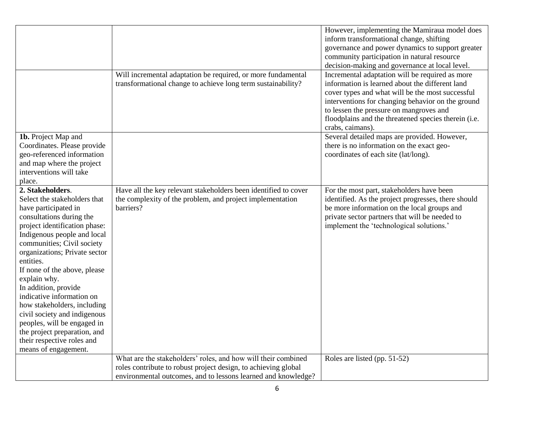|                                                                                                                                                                                                                                                                                                                                                                                                                                                                                                                                           | Will incremental adaptation be required, or more fundamental                                                                                                                                     | However, implementing the Mamiraua model does<br>inform transformational change, shifting<br>governance and power dynamics to support greater<br>community participation in natural resource<br>decision-making and governance at local level.<br>Incremental adaptation will be required as more |
|-------------------------------------------------------------------------------------------------------------------------------------------------------------------------------------------------------------------------------------------------------------------------------------------------------------------------------------------------------------------------------------------------------------------------------------------------------------------------------------------------------------------------------------------|--------------------------------------------------------------------------------------------------------------------------------------------------------------------------------------------------|---------------------------------------------------------------------------------------------------------------------------------------------------------------------------------------------------------------------------------------------------------------------------------------------------|
|                                                                                                                                                                                                                                                                                                                                                                                                                                                                                                                                           | transformational change to achieve long term sustainability?                                                                                                                                     | information is learned about the different land<br>cover types and what will be the most successful<br>interventions for changing behavior on the ground<br>to lessen the pressure on mangroves and<br>floodplains and the threatened species therein (i.e.<br>crabs, caimans).                   |
| 1b. Project Map and<br>Coordinates. Please provide<br>geo-referenced information<br>and map where the project<br>interventions will take<br>place.                                                                                                                                                                                                                                                                                                                                                                                        |                                                                                                                                                                                                  | Several detailed maps are provided. However,<br>there is no information on the exact geo-<br>coordinates of each site (lat/long).                                                                                                                                                                 |
| 2. Stakeholders.<br>Select the stakeholders that<br>have participated in<br>consultations during the<br>project identification phase:<br>Indigenous people and local<br>communities; Civil society<br>organizations; Private sector<br>entities.<br>If none of the above, please<br>explain why.<br>In addition, provide<br>indicative information on<br>how stakeholders, including<br>civil society and indigenous<br>peoples, will be engaged in<br>the project preparation, and<br>their respective roles and<br>means of engagement. | Have all the key relevant stakeholders been identified to cover<br>the complexity of the problem, and project implementation<br>barriers?                                                        | For the most part, stakeholders have been<br>identified. As the project progresses, there should<br>be more information on the local groups and<br>private sector partners that will be needed to<br>implement the 'technological solutions.'                                                     |
|                                                                                                                                                                                                                                                                                                                                                                                                                                                                                                                                           | What are the stakeholders' roles, and how will their combined<br>roles contribute to robust project design, to achieving global<br>environmental outcomes, and to lessons learned and knowledge? | Roles are listed (pp. 51-52)                                                                                                                                                                                                                                                                      |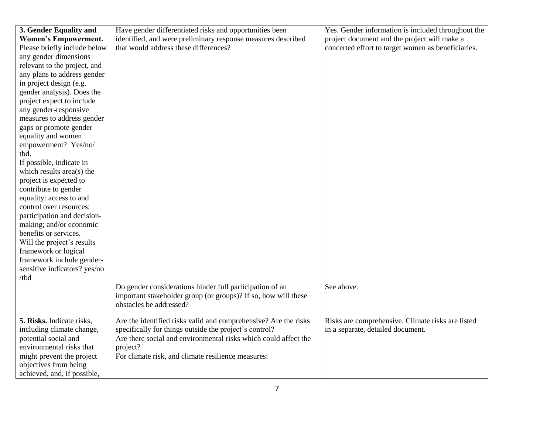| 3. Gender Equality and       | Have gender differentiated risks and opportunities been         | Yes. Gender information is included throughout the |
|------------------------------|-----------------------------------------------------------------|----------------------------------------------------|
| <b>Women's Empowerment.</b>  | identified, and were preliminary response measures described    | project document and the project will make a       |
| Please briefly include below | that would address these differences?                           | concerted effort to target women as beneficiaries. |
| any gender dimensions        |                                                                 |                                                    |
| relevant to the project, and |                                                                 |                                                    |
| any plans to address gender  |                                                                 |                                                    |
| in project design (e.g.      |                                                                 |                                                    |
| gender analysis). Does the   |                                                                 |                                                    |
| project expect to include    |                                                                 |                                                    |
| any gender-responsive        |                                                                 |                                                    |
| measures to address gender   |                                                                 |                                                    |
| gaps or promote gender       |                                                                 |                                                    |
| equality and women           |                                                                 |                                                    |
| empowerment? Yes/no/         |                                                                 |                                                    |
| tbd.                         |                                                                 |                                                    |
| If possible, indicate in     |                                                                 |                                                    |
| which results area(s) the    |                                                                 |                                                    |
| project is expected to       |                                                                 |                                                    |
| contribute to gender         |                                                                 |                                                    |
| equality: access to and      |                                                                 |                                                    |
| control over resources;      |                                                                 |                                                    |
| participation and decision-  |                                                                 |                                                    |
| making; and/or economic      |                                                                 |                                                    |
| benefits or services.        |                                                                 |                                                    |
| Will the project's results   |                                                                 |                                                    |
| framework or logical         |                                                                 |                                                    |
| framework include gender-    |                                                                 |                                                    |
| sensitive indicators? yes/no |                                                                 |                                                    |
| /tbd                         |                                                                 |                                                    |
|                              | Do gender considerations hinder full participation of an        | See above.                                         |
|                              | important stakeholder group (or groups)? If so, how will these  |                                                    |
|                              | obstacles be addressed?                                         |                                                    |
| 5. Risks. Indicate risks,    | Are the identified risks valid and comprehensive? Are the risks | Risks are comprehensive. Climate risks are listed  |
| including climate change,    | specifically for things outside the project's control?          | in a separate, detailed document.                  |
| potential social and         | Are there social and environmental risks which could affect the |                                                    |
| environmental risks that     | project?                                                        |                                                    |
| might prevent the project    | For climate risk, and climate resilience measures:              |                                                    |
| objectives from being        |                                                                 |                                                    |
| achieved, and, if possible,  |                                                                 |                                                    |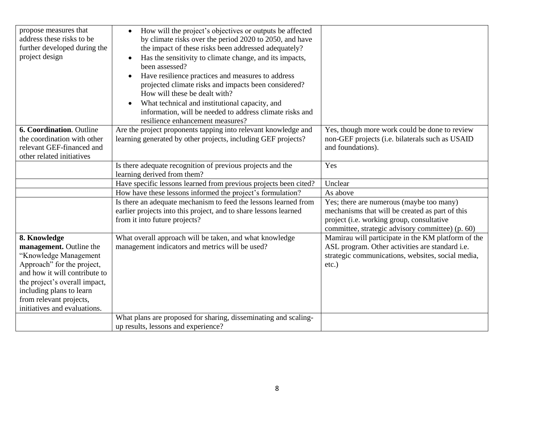| propose measures that<br>address these risks to be<br>further developed during the<br>project design                                                                                                                                                    | How will the project's objectives or outputs be affected<br>$\bullet$<br>by climate risks over the period 2020 to 2050, and have<br>the impact of these risks been addressed adequately?<br>Has the sensitivity to climate change, and its impacts,<br>been assessed?<br>Have resilience practices and measures to address<br>$\bullet$<br>projected climate risks and impacts been considered?<br>How will these be dealt with?<br>What technical and institutional capacity, and<br>information, will be needed to address climate risks and<br>resilience enhancement measures? |                                                                                                                                                                                              |
|---------------------------------------------------------------------------------------------------------------------------------------------------------------------------------------------------------------------------------------------------------|------------------------------------------------------------------------------------------------------------------------------------------------------------------------------------------------------------------------------------------------------------------------------------------------------------------------------------------------------------------------------------------------------------------------------------------------------------------------------------------------------------------------------------------------------------------------------------|----------------------------------------------------------------------------------------------------------------------------------------------------------------------------------------------|
| 6. Coordination. Outline<br>the coordination with other<br>relevant GEF-financed and<br>other related initiatives                                                                                                                                       | Are the project proponents tapping into relevant knowledge and<br>learning generated by other projects, including GEF projects?                                                                                                                                                                                                                                                                                                                                                                                                                                                    | Yes, though more work could be done to review<br>non-GEF projects (i.e. bilaterals such as USAID<br>and foundations).                                                                        |
|                                                                                                                                                                                                                                                         | Is there adequate recognition of previous projects and the<br>learning derived from them?                                                                                                                                                                                                                                                                                                                                                                                                                                                                                          | Yes                                                                                                                                                                                          |
|                                                                                                                                                                                                                                                         | Have specific lessons learned from previous projects been cited?                                                                                                                                                                                                                                                                                                                                                                                                                                                                                                                   | Unclear                                                                                                                                                                                      |
|                                                                                                                                                                                                                                                         | How have these lessons informed the project's formulation?                                                                                                                                                                                                                                                                                                                                                                                                                                                                                                                         | As above                                                                                                                                                                                     |
|                                                                                                                                                                                                                                                         | Is there an adequate mechanism to feed the lessons learned from<br>earlier projects into this project, and to share lessons learned<br>from it into future projects?                                                                                                                                                                                                                                                                                                                                                                                                               | Yes; there are numerous (maybe too many)<br>mechanisms that will be created as part of this<br>project (i.e. working group, consultative<br>committee, strategic advisory committee) (p. 60) |
| 8. Knowledge<br>management. Outline the<br>"Knowledge Management<br>Approach" for the project,<br>and how it will contribute to<br>the project's overall impact,<br>including plans to learn<br>from relevant projects,<br>initiatives and evaluations. | What overall approach will be taken, and what knowledge<br>management indicators and metrics will be used?                                                                                                                                                                                                                                                                                                                                                                                                                                                                         | Mamirau will participate in the KM platform of the<br>ASL program. Other activities are standard i.e.<br>strategic communications, websites, social media,<br>etc.)                          |
|                                                                                                                                                                                                                                                         | What plans are proposed for sharing, disseminating and scaling-<br>up results, lessons and experience?                                                                                                                                                                                                                                                                                                                                                                                                                                                                             |                                                                                                                                                                                              |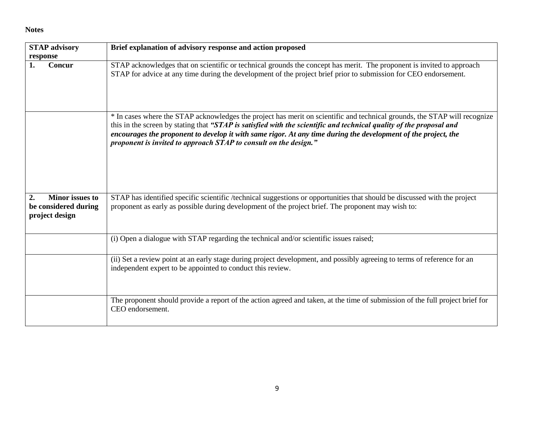## **Notes**

| <b>STAP</b> advisory                                                   | Brief explanation of advisory response and action proposed                                                                                                                                                                                                                                                                                                                                                                             |
|------------------------------------------------------------------------|----------------------------------------------------------------------------------------------------------------------------------------------------------------------------------------------------------------------------------------------------------------------------------------------------------------------------------------------------------------------------------------------------------------------------------------|
| response                                                               |                                                                                                                                                                                                                                                                                                                                                                                                                                        |
| Concur<br>1.                                                           | STAP acknowledges that on scientific or technical grounds the concept has merit. The proponent is invited to approach<br>STAP for advice at any time during the development of the project brief prior to submission for CEO endorsement.                                                                                                                                                                                              |
|                                                                        | * In cases where the STAP acknowledges the project has merit on scientific and technical grounds, the STAP will recognize<br>this in the screen by stating that "STAP is satisfied with the scientific and technical quality of the proposal and<br>encourages the proponent to develop it with same rigor. At any time during the development of the project, the<br>proponent is invited to approach STAP to consult on the design." |
| <b>Minor</b> issues to<br>2.<br>be considered during<br>project design | STAP has identified specific scientific /technical suggestions or opportunities that should be discussed with the project<br>proponent as early as possible during development of the project brief. The proponent may wish to:                                                                                                                                                                                                        |
|                                                                        | (i) Open a dialogue with STAP regarding the technical and/or scientific issues raised;                                                                                                                                                                                                                                                                                                                                                 |
|                                                                        | (ii) Set a review point at an early stage during project development, and possibly agreeing to terms of reference for an<br>independent expert to be appointed to conduct this review.                                                                                                                                                                                                                                                 |
|                                                                        | The proponent should provide a report of the action agreed and taken, at the time of submission of the full project brief for<br>CEO endorsement.                                                                                                                                                                                                                                                                                      |